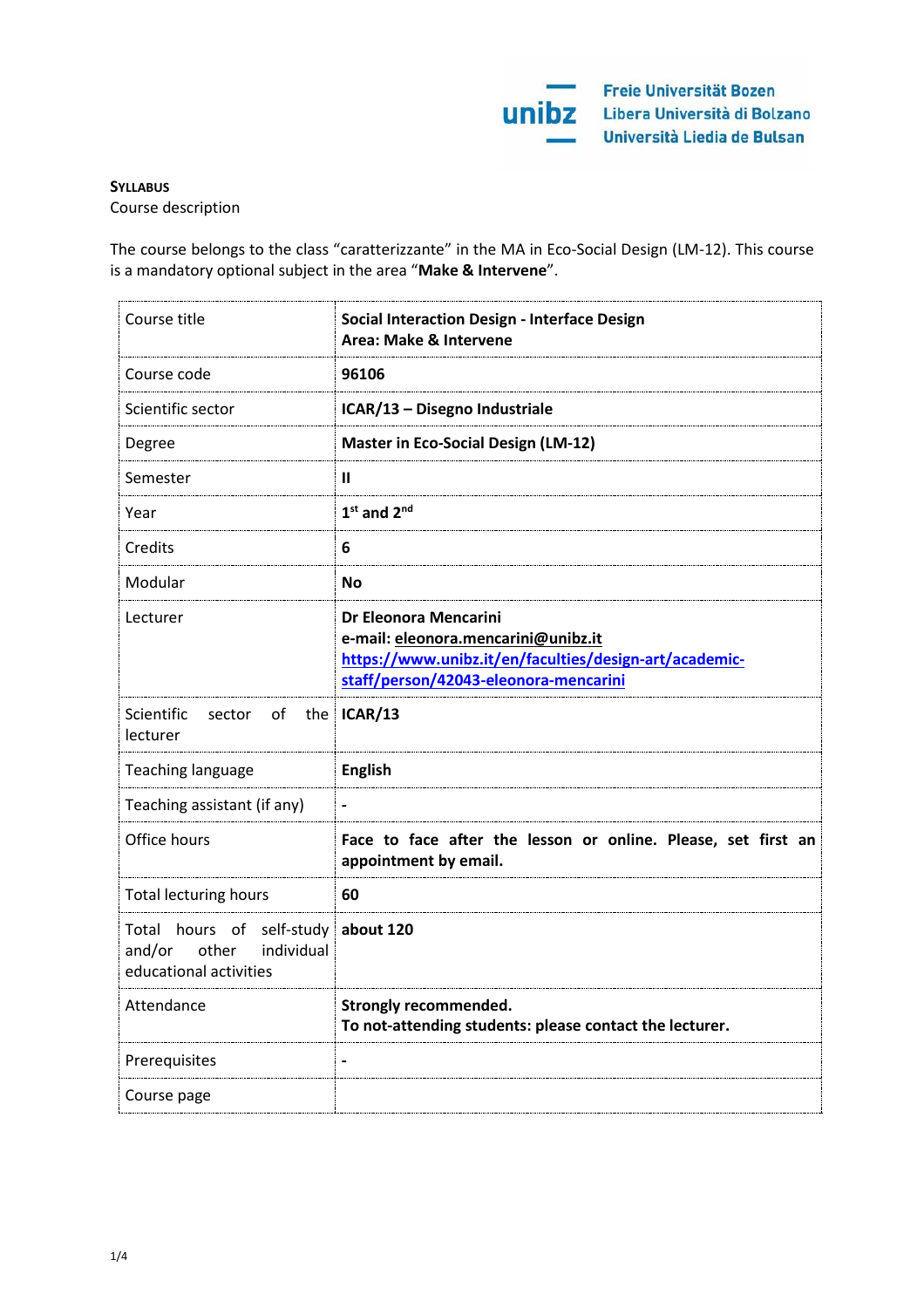# **SYLLABUS**

Course description

The course belongs to the class "caratterizzante" in the MA in Eco-Social Design (LM-12). This course is a mandatory optional subject in the area "**Make & Intervene**".

| Course title                                                                                   | <b>Social Interaction Design - Interface Design</b><br>Area: Make & Intervene                                                                                   |
|------------------------------------------------------------------------------------------------|-----------------------------------------------------------------------------------------------------------------------------------------------------------------|
| Course code                                                                                    | 96106                                                                                                                                                           |
| Scientific sector                                                                              | ICAR/13 - Disegno Industriale                                                                                                                                   |
| Degree                                                                                         | <b>Master in Eco-Social Design (LM-12)</b>                                                                                                                      |
| Semester                                                                                       | $\mathbf{I}$                                                                                                                                                    |
| Year                                                                                           | $1st$ and $2nd$                                                                                                                                                 |
| Credits                                                                                        | 6                                                                                                                                                               |
| Modular                                                                                        | <b>No</b>                                                                                                                                                       |
| Lecturer                                                                                       | Dr Eleonora Mencarini<br>e-mail: eleonora.mencarini@unibz.it<br>https://www.unibz.it/en/faculties/design-art/academic-<br>staff/person/42043-eleonora-mencarini |
| Scientific<br>of<br>sector<br>lecturer                                                         | the ICAR/13                                                                                                                                                     |
| Teaching language                                                                              | <b>English</b>                                                                                                                                                  |
| Teaching assistant (if any)                                                                    | $\qquad \qquad \blacksquare$                                                                                                                                    |
| Office hours                                                                                   | Face to face after the lesson or online. Please, set first an<br>appointment by email.                                                                          |
| <b>Total lecturing hours</b>                                                                   | 60                                                                                                                                                              |
| Total hours of self-study about 120<br>other<br>individual<br>and/or<br>educational activities |                                                                                                                                                                 |
| Attendance                                                                                     | <b>Strongly recommended.</b><br>To not-attending students: please contact the lecturer.                                                                         |
| Prerequisites                                                                                  | $\blacksquare$                                                                                                                                                  |
| Course page                                                                                    |                                                                                                                                                                 |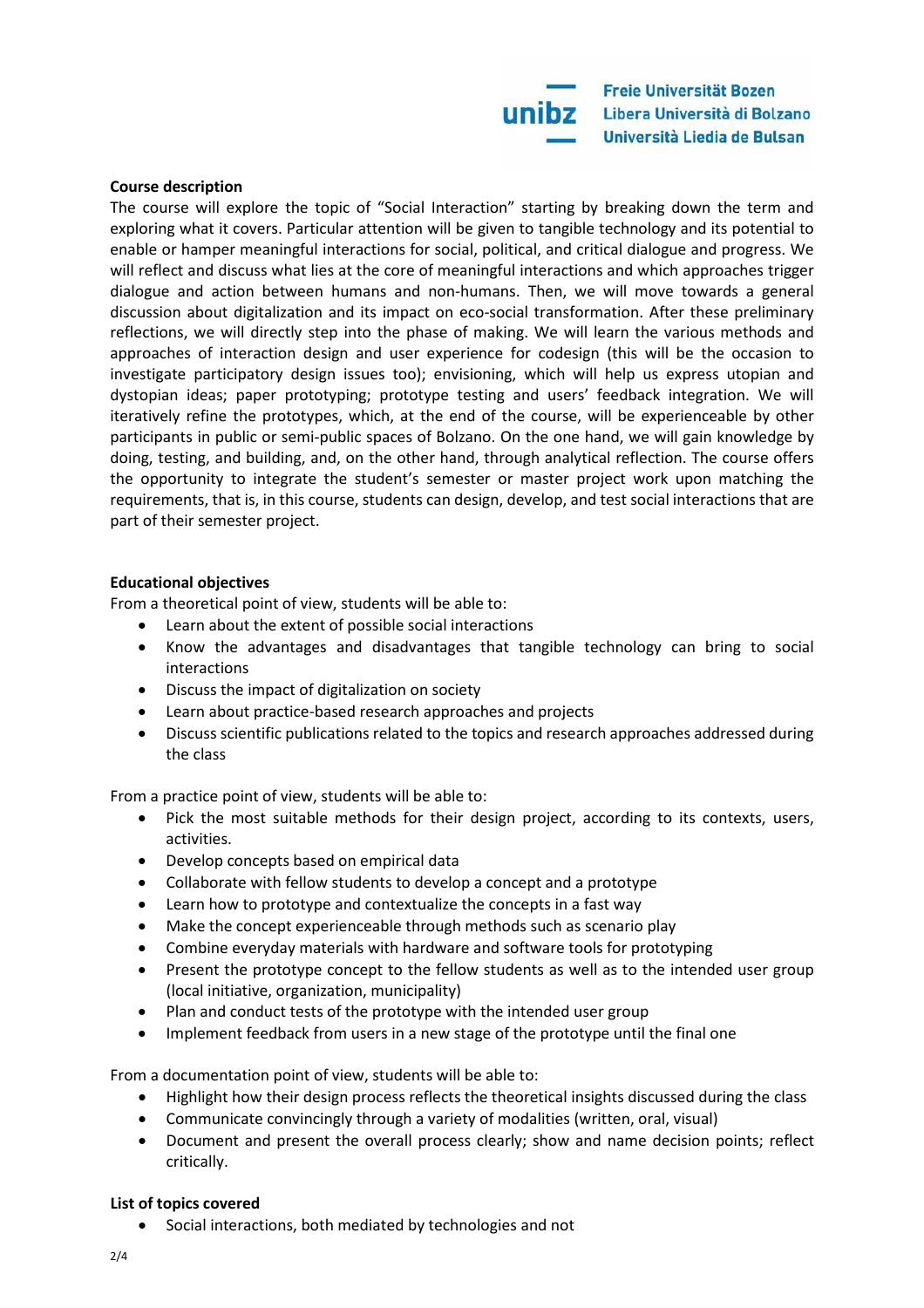

#### **Course description**

The course will explore the topic of "Social Interaction" starting by breaking down the term and exploring what it covers. Particular attention will be given to tangible technology and its potential to enable or hamper meaningful interactions for social, political, and critical dialogue and progress. We will reflect and discuss what lies at the core of meaningful interactions and which approaches trigger dialogue and action between humans and non-humans. Then, we will move towards a general discussion about digitalization and its impact on eco-social transformation. After these preliminary reflections, we will directly step into the phase of making. We will learn the various methods and approaches of interaction design and user experience for codesign (this will be the occasion to investigate participatory design issues too); envisioning, which will help us express utopian and dystopian ideas; paper prototyping; prototype testing and users' feedback integration. We will iteratively refine the prototypes, which, at the end of the course, will be experienceable by other participants in public or semi-public spaces of Bolzano. On the one hand, we will gain knowledge by doing, testing, and building, and, on the other hand, through analytical reflection. The course offers the opportunity to integrate the student's semester or master project work upon matching the requirements, that is, in this course, students can design, develop, and test social interactions that are part of their semester project.

#### **Educational objectives**

From a theoretical point of view, students will be able to:

- Learn about the extent of possible social interactions
- Know the advantages and disadvantages that tangible technology can bring to social interactions
- Discuss the impact of digitalization on society
- Learn about practice-based research approaches and projects
- Discuss scientific publications related to the topics and research approaches addressed during the class

From a practice point of view, students will be able to:

- Pick the most suitable methods for their design project, according to its contexts, users, activities.
- Develop concepts based on empirical data
- Collaborate with fellow students to develop a concept and a prototype
- Learn how to prototype and contextualize the concepts in a fast way
- Make the concept experienceable through methods such as scenario play
- Combine everyday materials with hardware and software tools for prototyping
- Present the prototype concept to the fellow students as well as to the intended user group (local initiative, organization, municipality)
- Plan and conduct tests of the prototype with the intended user group
- Implement feedback from users in a new stage of the prototype until the final one

From a documentation point of view, students will be able to:

- Highlight how their design process reflects the theoretical insights discussed during the class
- Communicate convincingly through a variety of modalities (written, oral, visual)
- Document and present the overall process clearly; show and name decision points; reflect critically.

#### **List of topics covered**

• Social interactions, both mediated by technologies and not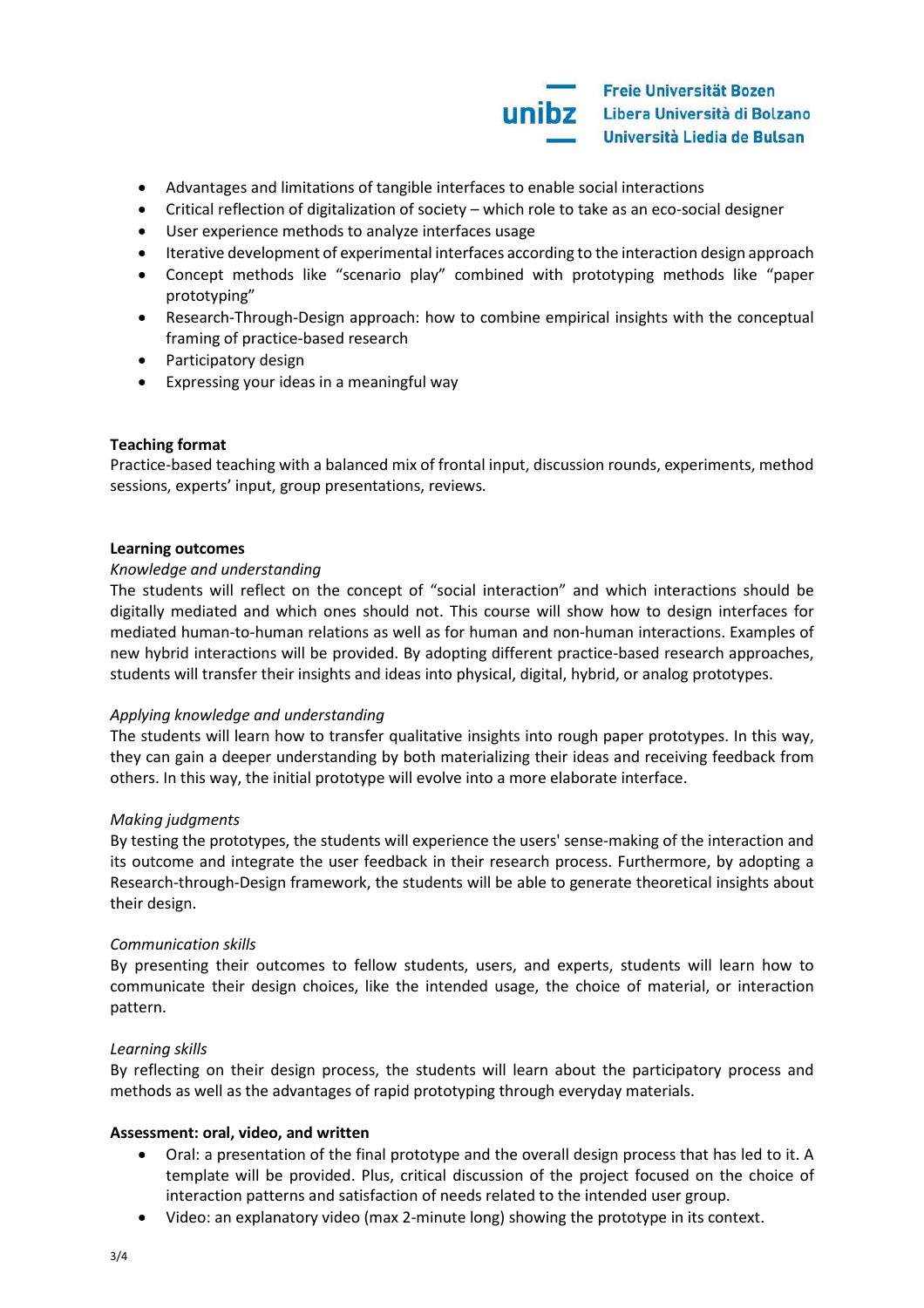

- Advantages and limitations of tangible interfaces to enable social interactions
- Critical reflection of digitalization of society which role to take as an eco-social designer
- User experience methods to analyze interfaces usage
- Iterative development of experimental interfaces according to the interaction design approach
- Concept methods like "scenario play" combined with prototyping methods like "paper prototyping"
- Research-Through-Design approach: how to combine empirical insights with the conceptual framing of practice-based research
- Participatory design
- Expressing your ideas in a meaningful way

## **Teaching format**

Practice-based teaching with a balanced mix of frontal input, discussion rounds, experiments, method sessions, experts' input, group presentations, reviews.

#### **Learning outcomes**

## *Knowledge and understanding*

The students will reflect on the concept of "social interaction" and which interactions should be digitally mediated and which ones should not. This course will show how to design interfaces for mediated human-to-human relations as well as for human and non-human interactions. Examples of new hybrid interactions will be provided. By adopting different practice-based research approaches, students will transfer their insights and ideas into physical, digital, hybrid, or analog prototypes.

## *Applying knowledge and understanding*

The students will learn how to transfer qualitative insights into rough paper prototypes. In this way, they can gain a deeper understanding by both materializing their ideas and receiving feedback from others. In this way, the initial prototype will evolve into a more elaborate interface.

## *Making judgments*

By testing the prototypes, the students will experience the users' sense-making of the interaction and its outcome and integrate the user feedback in their research process. Furthermore, by adopting a Research-through-Design framework, the students will be able to generate theoretical insights about their design.

## *Communication skills*

By presenting their outcomes to fellow students, users, and experts, students will learn how to communicate their design choices, like the intended usage, the choice of material, or interaction pattern.

## *Learning skills*

By reflecting on their design process, the students will learn about the participatory process and methods as well as the advantages of rapid prototyping through everyday materials.

## **Assessment: oral, video, and written**

- Oral: a presentation of the final prototype and the overall design process that has led to it. A template will be provided. Plus, critical discussion of the project focused on the choice of interaction patterns and satisfaction of needs related to the intended user group.
- Video: an explanatory video (max 2-minute long) showing the prototype in its context.